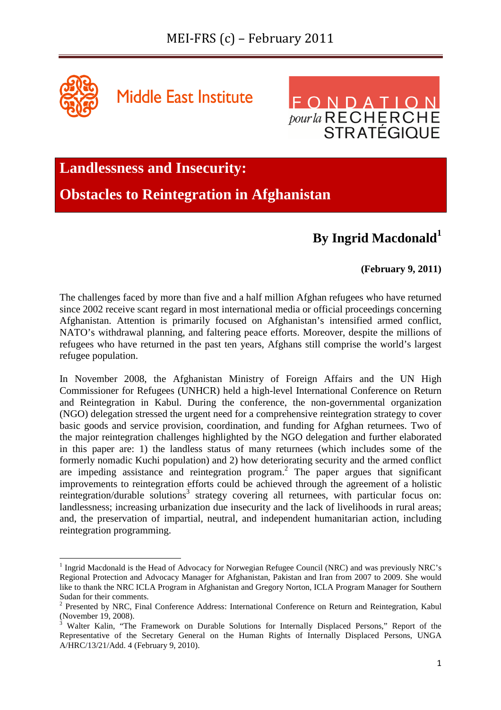

 $\overline{a}$ 

**Middle East Institute** 



**Landlessness and Insecurity:** 

**Obstacles to Reintegration in Afghanistan** 

# **By Ingrid Macdonald<sup>1</sup>**

# **(February 9, 2011)**

The challenges faced by more than five and a half million Afghan refugees who have returned since 2002 receive scant regard in most international media or official proceedings concerning Afghanistan. Attention is primarily focused on Afghanistan's intensified armed conflict, NATO's withdrawal planning, and faltering peace efforts. Moreover, despite the millions of refugees who have returned in the past ten years, Afghans still comprise the world's largest refugee population.

In November 2008, the Afghanistan Ministry of Foreign Affairs and the UN High Commissioner for Refugees (UNHCR) held a high-level International Conference on Return and Reintegration in Kabul. During the conference, the non-governmental organization (NGO) delegation stressed the urgent need for a comprehensive reintegration strategy to cover basic goods and service provision, coordination, and funding for Afghan returnees. Two of the major reintegration challenges highlighted by the NGO delegation and further elaborated in this paper are: 1) the landless status of many returnees (which includes some of the formerly nomadic Kuchi population) and 2) how deteriorating security and the armed conflict are impeding assistance and reintegration program.<sup>2</sup> The paper argues that significant improvements to reintegration efforts could be achieved through the agreement of a holistic reintegration/durable solutions<sup>3</sup> strategy covering all returnees, with particular focus on: landlessness; increasing urbanization due insecurity and the lack of livelihoods in rural areas; and, the preservation of impartial, neutral, and independent humanitarian action, including reintegration programming.

<sup>&</sup>lt;sup>1</sup> Ingrid Macdonald is the Head of Advocacy for Norwegian Refugee Council (NRC) and was previously NRC's Regional Protection and Advocacy Manager for Afghanistan, Pakistan and Iran from 2007 to 2009. She would like to thank the NRC ICLA Program in Afghanistan and Gregory Norton, ICLA Program Manager for Southern Sudan for their comments.

<sup>&</sup>lt;sup>2</sup> Presented by NRC, Final Conference Address: International Conference on Return and Reintegration, Kabul (November 19, 2008).

<sup>3</sup> Walter Kalin, "The Framework on Durable Solutions for Internally Displaced Persons," Report of the Representative of the Secretary General on the Human Rights of Internally Displaced Persons, UNGA A/HRC/13/21/Add. 4 (February 9, 2010).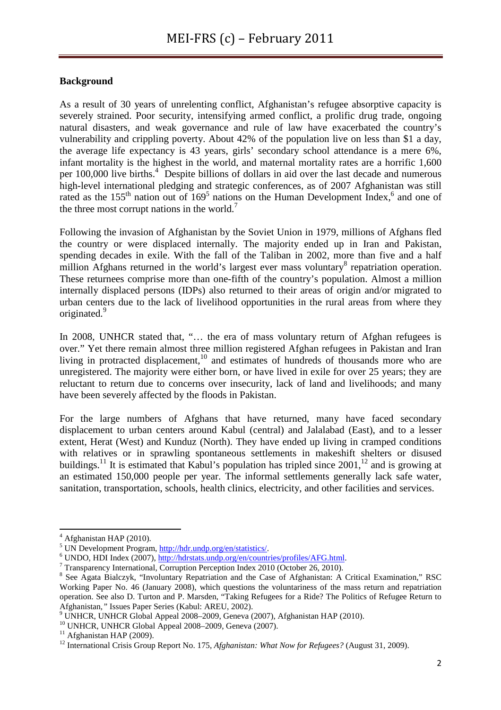# **Background**

As a result of 30 years of unrelenting conflict, Afghanistan's refugee absorptive capacity is severely strained. Poor security, intensifying armed conflict, a prolific drug trade, ongoing natural disasters, and weak governance and rule of law have exacerbated the country's vulnerability and crippling poverty. About 42% of the population live on less than \$1 a day, the average life expectancy is 43 years, girls' secondary school attendance is a mere 6%, infant mortality is the highest in the world, and maternal mortality rates are a horrific 1,600 per 100,000 live births.<sup>4</sup> Despite billions of dollars in aid over the last decade and numerous high-level international pledging and strategic conferences, as of 2007 Afghanistan was still rated as the  $155<sup>th</sup>$  nation out of  $169<sup>5</sup>$  nations on the Human Development Index,<sup>6</sup> and one of the three most corrupt nations in the world.<sup>7</sup>

Following the invasion of Afghanistan by the Soviet Union in 1979, millions of Afghans fled the country or were displaced internally. The majority ended up in Iran and Pakistan, spending decades in exile. With the fall of the Taliban in 2002, more than five and a half million Afghans returned in the world's largest ever mass voluntary<sup>8</sup> repatriation operation. These returnees comprise more than one-fifth of the country's population. Almost a million internally displaced persons (IDPs) also returned to their areas of origin and/or migrated to urban centers due to the lack of livelihood opportunities in the rural areas from where they originated.<sup>9</sup>

In 2008, UNHCR stated that, "... the era of mass voluntary return of Afghan refugees is over." Yet there remain almost three million registered Afghan refugees in Pakistan and Iran living in protracted displacement,<sup>10</sup> and estimates of hundreds of thousands more who are unregistered. The majority were either born, or have lived in exile for over 25 years; they are reluctant to return due to concerns over insecurity, lack of land and livelihoods; and many have been severely affected by the floods in Pakistan.

For the large numbers of Afghans that have returned, many have faced secondary displacement to urban centers around Kabul (central) and Jalalabad (East), and to a lesser extent, Herat (West) and Kunduz (North). They have ended up living in cramped conditions with relatives or in sprawling spontaneous settlements in makeshift shelters or disused buildings.<sup>11</sup> It is estimated that Kabul's population has tripled since  $2001$ ,<sup>12</sup> and is growing at an estimated 150,000 people per year. The informal settlements generally lack safe water, sanitation, transportation, schools, health clinics, electricity, and other facilities and services.

<sup>4</sup> Afghanistan HAP (2010).

<sup>&</sup>lt;sup>5</sup> UN Development Program, http://hdr.undp.org/en/statistics/.

<sup>&</sup>lt;sup>6</sup> UNDO, HDI Index (2007), http://hdrstats.undp.org/en/countries/profiles/AFG.html.

<sup>&</sup>lt;sup>7</sup> Transparency International, Corruption Perception Index 2010 (October 26, 2010).

<sup>&</sup>lt;sup>8</sup> See Agata Bialczyk, "Involuntary Repatriation and the Case of Afghanistan: A Critical Examination," RSC Working Paper No. 46 (January 2008), which questions the voluntariness of the mass return and repatriation operation. See also D. Turton and P. Marsden, "Taking Refugees for a Ride? The Politics of Refugee Return to Afghanistan*,"* Issues Paper Series (Kabul: AREU, 2002).

<sup>9</sup> UNHCR, UNHCR Global Appeal 2008–2009, Geneva (2007), Afghanistan HAP (2010).

<sup>10</sup> UNHCR, UNHCR Global Appeal 2008–2009, Geneva (2007).

 $11$  Afghanistan HAP (2009).

<sup>12</sup> International Crisis Group Report No. 175, *Afghanistan: What Now for Refugees?* (August 31, 2009).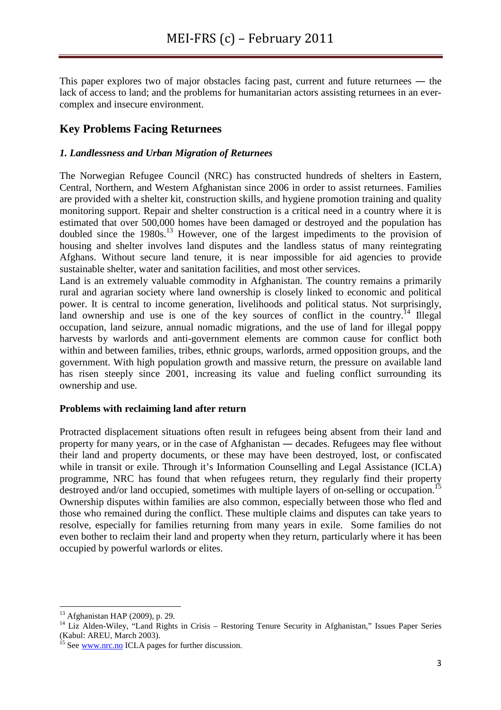This paper explores two of major obstacles facing past, current and future returnees — the lack of access to land; and the problems for humanitarian actors assisting returnees in an evercomplex and insecure environment.

# **Key Problems Facing Returnees**

# *1. Landlessness and Urban Migration of Returnees*

The Norwegian Refugee Council (NRC) has constructed hundreds of shelters in Eastern, Central, Northern, and Western Afghanistan since 2006 in order to assist returnees. Families are provided with a shelter kit, construction skills, and hygiene promotion training and quality monitoring support. Repair and shelter construction is a critical need in a country where it is estimated that over 500,000 homes have been damaged or destroyed and the population has doubled since the 1980s.<sup>13</sup> However, one of the largest impediments to the provision of housing and shelter involves land disputes and the landless status of many reintegrating Afghans. Without secure land tenure, it is near impossible for aid agencies to provide sustainable shelter, water and sanitation facilities, and most other services.

Land is an extremely valuable commodity in Afghanistan. The country remains a primarily rural and agrarian society where land ownership is closely linked to economic and political power. It is central to income generation, livelihoods and political status. Not surprisingly, land ownership and use is one of the key sources of conflict in the country.<sup>14</sup> Illegal occupation, land seizure, annual nomadic migrations, and the use of land for illegal poppy harvests by warlords and anti-government elements are common cause for conflict both within and between families, tribes, ethnic groups, warlords, armed opposition groups, and the government. With high population growth and massive return, the pressure on available land has risen steeply since 2001, increasing its value and fueling conflict surrounding its ownership and use.

# **Problems with reclaiming land after return**

Protracted displacement situations often result in refugees being absent from their land and property for many years, or in the case of Afghanistan ― decades. Refugees may flee without their land and property documents, or these may have been destroyed, lost, or confiscated while in transit or exile. Through it's Information Counselling and Legal Assistance (ICLA) programme, NRC has found that when refugees return, they regularly find their property destroyed and/or land occupied, sometimes with multiple layers of on-selling or occupation.<sup>15</sup> Ownership disputes within families are also common, especially between those who fled and those who remained during the conflict. These multiple claims and disputes can take years to resolve, especially for families returning from many years in exile. Some families do not even bother to reclaim their land and property when they return, particularly where it has been occupied by powerful warlords or elites.

l

<sup>13</sup> Afghanistan HAP (2009), p. 29.

<sup>&</sup>lt;sup>14</sup> Liz Alden-Wiley, "Land Rights in Crisis – Restoring Tenure Security in Afghanistan," Issues Paper Series (Kabul: AREU, March 2003).

 $^{15}$  See www.nrc.no ICLA pages for further discussion.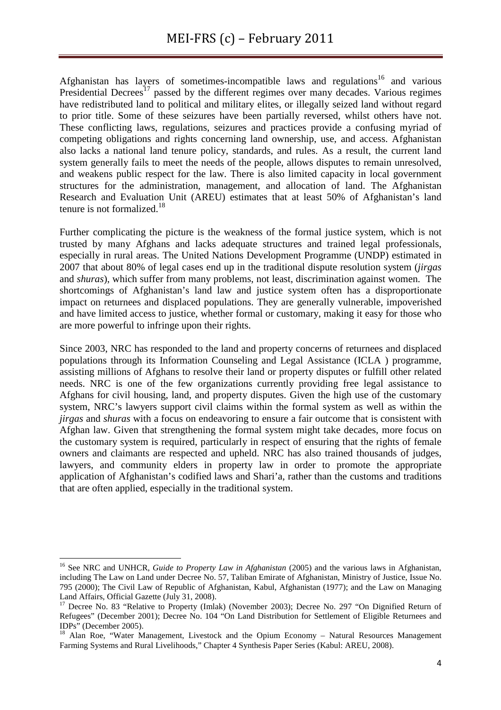Afghanistan has layers of sometimes-incompatible laws and regulations<sup>16</sup> and various Presidential Decrees<sup>17</sup> passed by the different regimes over many decades. Various regimes have redistributed land to political and military elites, or illegally seized land without regard to prior title. Some of these seizures have been partially reversed, whilst others have not. These conflicting laws, regulations, seizures and practices provide a confusing myriad of competing obligations and rights concerning land ownership, use, and access. Afghanistan also lacks a national land tenure policy, standards, and rules. As a result, the current land system generally fails to meet the needs of the people, allows disputes to remain unresolved, and weakens public respect for the law. There is also limited capacity in local government structures for the administration, management, and allocation of land. The Afghanistan Research and Evaluation Unit (AREU) estimates that at least 50% of Afghanistan's land tenure is not formalized.<sup>18</sup>

Further complicating the picture is the weakness of the formal justice system, which is not trusted by many Afghans and lacks adequate structures and trained legal professionals, especially in rural areas. The United Nations Development Programme (UNDP) estimated in 2007 that about 80% of legal cases end up in the traditional dispute resolution system (*jirgas*  and *shuras*), which suffer from many problems, not least, discrimination against women. The shortcomings of Afghanistan's land law and justice system often has a disproportionate impact on returnees and displaced populations. They are generally vulnerable, impoverished and have limited access to justice, whether formal or customary, making it easy for those who are more powerful to infringe upon their rights.

Since 2003, NRC has responded to the land and property concerns of returnees and displaced populations through its Information Counseling and Legal Assistance (ICLA ) programme, assisting millions of Afghans to resolve their land or property disputes or fulfill other related needs. NRC is one of the few organizations currently providing free legal assistance to Afghans for civil housing, land, and property disputes. Given the high use of the customary system, NRC's lawyers support civil claims within the formal system as well as within the *jirgas* and *shuras* with a focus on endeavoring to ensure a fair outcome that is consistent with Afghan law. Given that strengthening the formal system might take decades, more focus on the customary system is required, particularly in respect of ensuring that the rights of female owners and claimants are respected and upheld. NRC has also trained thousands of judges, lawyers, and community elders in property law in order to promote the appropriate application of Afghanistan's codified laws and Shari'a, rather than the customs and traditions that are often applied, especially in the traditional system.

<sup>16</sup> See NRC and UNHCR, *Guide to Property Law in Afghanistan* (2005) and the various laws in Afghanistan, including The Law on Land under Decree No. 57, Taliban Emirate of Afghanistan, Ministry of Justice, Issue No. 795 (2000); The Civil Law of Republic of Afghanistan, Kabul, Afghanistan (1977); and the Law on Managing Land Affairs, Official Gazette (July 31, 2008).

<sup>&</sup>lt;sup>17</sup> Decree No. 83 "Relative to Property (Imlak) (November 2003); Decree No. 297 "On Dignified Return of Refugees" (December 2001); Decree No. 104 "On Land Distribution for Settlement of Eligible Returnees and IDPs" (December 2005).

<sup>&</sup>lt;sup>18</sup> Alan Roe, "Water Management, Livestock and the Opium Economy – Natural Resources Management Farming Systems and Rural Livelihoods," Chapter 4 Synthesis Paper Series (Kabul: AREU, 2008).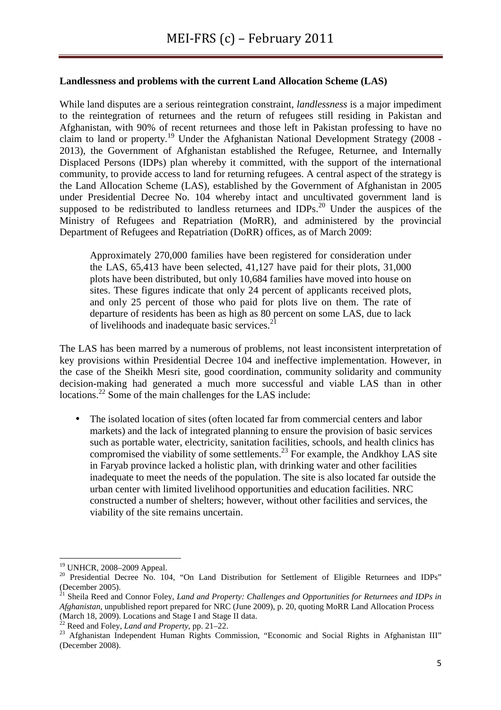### **Landlessness and problems with the current Land Allocation Scheme (LAS)**

While land disputes are a serious reintegration constraint, *landlessness* is a major impediment to the reintegration of returnees and the return of refugees still residing in Pakistan and Afghanistan, with 90% of recent returnees and those left in Pakistan professing to have no claim to land or property.<sup>19</sup> Under the Afghanistan National Development Strategy (2008 - 2013), the Government of Afghanistan established the Refugee, Returnee, and Internally Displaced Persons (IDPs) plan whereby it committed, with the support of the international community, to provide access to land for returning refugees. A central aspect of the strategy is the Land Allocation Scheme (LAS), established by the Government of Afghanistan in 2005 under Presidential Decree No. 104 whereby intact and uncultivated government land is supposed to be redistributed to landless returnees and IDPs.<sup>20</sup> Under the auspices of the Ministry of Refugees and Repatriation (MoRR), and administered by the provincial Department of Refugees and Repatriation (DoRR) offices, as of March 2009:

Approximately 270,000 families have been registered for consideration under the LAS, 65,413 have been selected, 41,127 have paid for their plots, 31,000 plots have been distributed, but only 10,684 families have moved into house on sites. These figures indicate that only 24 percent of applicants received plots, and only 25 percent of those who paid for plots live on them. The rate of departure of residents has been as high as 80 percent on some LAS, due to lack of livelihoods and inadequate basic services.<sup>21</sup>

The LAS has been marred by a numerous of problems, not least inconsistent interpretation of key provisions within Presidential Decree 104 and ineffective implementation. However, in the case of the Sheikh Mesri site, good coordination, community solidarity and community decision-making had generated a much more successful and viable LAS than in other locations.<sup>22</sup> Some of the main challenges for the LAS include:

• The isolated location of sites (often located far from commercial centers and labor markets) and the lack of integrated planning to ensure the provision of basic services such as portable water, electricity, sanitation facilities, schools, and health clinics has compromised the viability of some settlements.<sup>23</sup> For example, the Andkhoy LAS site in Faryab province lacked a holistic plan, with drinking water and other facilities inadequate to meet the needs of the population. The site is also located far outside the urban center with limited livelihood opportunities and education facilities. NRC constructed a number of shelters; however, without other facilities and services, the viability of the site remains uncertain.

<sup>19</sup> UNHCR, 2008–2009 Appeal.

<sup>&</sup>lt;sup>20</sup> Presidential Decree No. 104, "On Land Distribution for Settlement of Eligible Returnees and IDPs" (December 2005).

<sup>&</sup>lt;sup>21</sup> Sheila Reed and Connor Foley, *Land and Property: Challenges and Opportunities for Returnees and IDPs in Afghanistan*, unpublished report prepared for NRC (June 2009), p. 20, quoting MoRR Land Allocation Process (March 18, 2009). Locations and Stage I and Stage II data.

 $2^2$  Reed and Foley, *Land and Property*, pp. 21–22.

<sup>&</sup>lt;sup>23</sup> Afghanistan Independent Human Rights Commission, "Economic and Social Rights in Afghanistan III" (December 2008).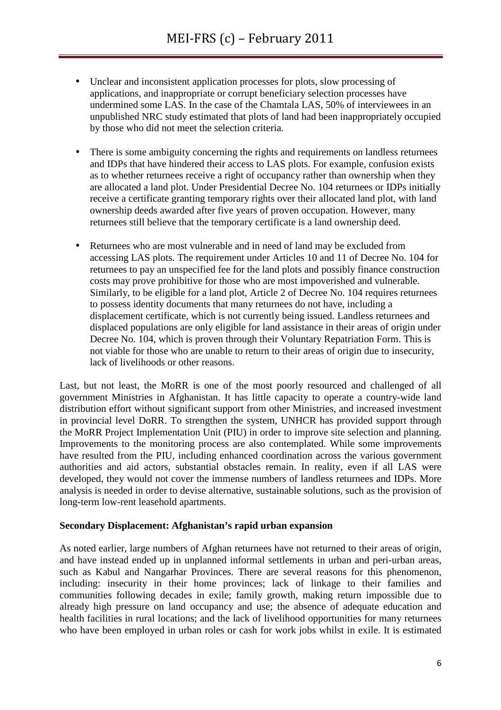- Unclear and inconsistent application processes for plots, slow processing of applications, and inappropriate or corrupt beneficiary selection processes have undermined some LAS. In the case of the Chamtala LAS, 50% of interviewees in an unpublished NRC study estimated that plots of land had been inappropriately occupied by those who did not meet the selection criteria.
- There is some ambiguity concerning the rights and requirements on landless returnees and IDPs that have hindered their access to LAS plots. For example, confusion exists as to whether returnees receive a right of occupancy rather than ownership when they are allocated a land plot. Under Presidential Decree No. 104 returnees or IDPs initially receive a certificate granting temporary rights over their allocated land plot, with land ownership deeds awarded after five years of proven occupation. However, many returnees still believe that the temporary certificate is a land ownership deed.
- Returnees who are most vulnerable and in need of land may be excluded from accessing LAS plots. The requirement under Articles 10 and 11 of Decree No. 104 for returnees to pay an unspecified fee for the land plots and possibly finance construction costs may prove prohibitive for those who are most impoverished and vulnerable. Similarly, to be eligible for a land plot, Article 2 of Decree No. 104 requires returnees to possess identity documents that many returnees do not have, including a displacement certificate, which is not currently being issued. Landless returnees and displaced populations are only eligible for land assistance in their areas of origin under Decree No. 104, which is proven through their Voluntary Repatriation Form. This is not viable for those who are unable to return to their areas of origin due to insecurity, lack of livelihoods or other reasons.

Last, but not least, the MoRR is one of the most poorly resourced and challenged of all government Ministries in Afghanistan. It has little capacity to operate a country-wide land distribution effort without significant support from other Ministries, and increased investment in provincial level DoRR. To strengthen the system, UNHCR has provided support through the MoRR Project Implementation Unit (PIU) in order to improve site selection and planning. Improvements to the monitoring process are also contemplated. While some improvements have resulted from the PIU, including enhanced coordination across the various government authorities and aid actors, substantial obstacles remain. In reality, even if all LAS were developed, they would not cover the immense numbers of landless returnees and IDPs. More analysis is needed in order to devise alternative, sustainable solutions, such as the provision of long-term low-rent leasehold apartments.

#### **Secondary Displacement: Afghanistan's rapid urban expansion**

As noted earlier, large numbers of Afghan returnees have not returned to their areas of origin, and have instead ended up in unplanned informal settlements in urban and peri-urban areas, such as Kabul and Nangarhar Provinces. There are several reasons for this phenomenon, including: insecurity in their home provinces; lack of linkage to their families and communities following decades in exile; family growth, making return impossible due to already high pressure on land occupancy and use; the absence of adequate education and health facilities in rural locations; and the lack of livelihood opportunities for many returnees who have been employed in urban roles or cash for work jobs whilst in exile. It is estimated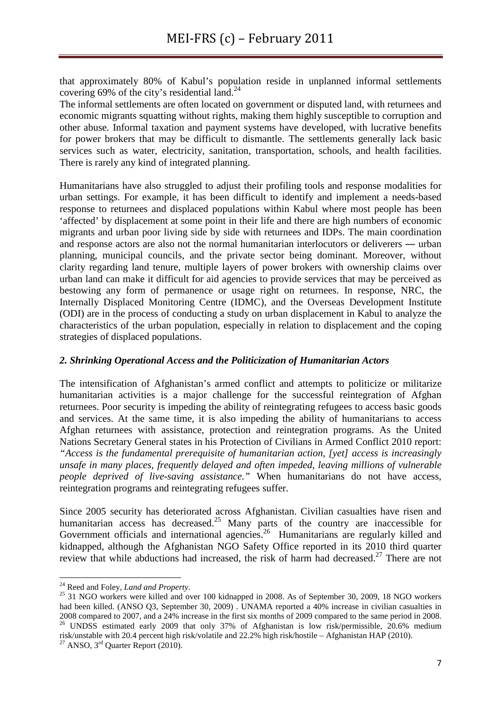that approximately 80% of Kabul's population reside in unplanned informal settlements covering 69% of the city's residential land. $24$ 

The informal settlements are often located on government or disputed land, with returnees and economic migrants squatting without rights, making them highly susceptible to corruption and other abuse. Informal taxation and payment systems have developed, with lucrative benefits for power brokers that may be difficult to dismantle. The settlements generally lack basic services such as water, electricity, sanitation, transportation, schools, and health facilities. There is rarely any kind of integrated planning.

Humanitarians have also struggled to adjust their profiling tools and response modalities for urban settings. For example, it has been difficult to identify and implement a needs-based response to returnees and displaced populations within Kabul where most people has been 'affected' by displacement at some point in their life and there are high numbers of economic migrants and urban poor living side by side with returnees and IDPs. The main coordination and response actors are also not the normal humanitarian interlocutors or deliverers ― urban planning, municipal councils, and the private sector being dominant. Moreover, without clarity regarding land tenure, multiple layers of power brokers with ownership claims over urban land can make it difficult for aid agencies to provide services that may be perceived as bestowing any form of permanence or usage right on returnees. In response, NRC, the Internally Displaced Monitoring Centre (IDMC), and the Overseas Development Institute (ODI) are in the process of conducting a study on urban displacement in Kabul to analyze the characteristics of the urban population, especially in relation to displacement and the coping strategies of displaced populations.

#### *2. Shrinking Operational Access and the Politicization of Humanitarian Actors*

The intensification of Afghanistan's armed conflict and attempts to politicize or militarize humanitarian activities is a major challenge for the successful reintegration of Afghan returnees. Poor security is impeding the ability of reintegrating refugees to access basic goods and services. At the same time, it is also impeding the ability of humanitarians to access Afghan returnees with assistance, protection and reintegration programs. As the United Nations Secretary General states in his Protection of Civilians in Armed Conflict 2010 report: *"Access is the fundamental prerequisite of humanitarian action, [yet] access is increasingly unsafe in many places, frequently delayed and often impeded, leaving millions of vulnerable people deprived of live-saving assistance."* When humanitarians do not have access, reintegration programs and reintegrating refugees suffer.

Since 2005 security has deteriorated across Afghanistan. Civilian casualties have risen and humanitarian access has decreased.<sup>25</sup> Many parts of the country are inaccessible for Government officials and international agencies.<sup>26</sup> Humanitarians are regularly killed and kidnapped, although the Afghanistan NGO Safety Office reported in its 2010 third quarter review that while abductions had increased, the risk of harm had decreased.<sup>27</sup> There are not

l

<sup>24</sup> Reed and Foley, *Land and Property*.

<sup>&</sup>lt;sup>25</sup> 31 NGO workers were killed and over 100 kidnapped in 2008. As of September 30, 2009, 18 NGO workers had been killed. (ANSO Q3, September 30, 2009) . UNAMA reported a 40% increase in civilian casualties in 2008 compared to 2007, and a 24% increase in the first six months of 2009 compared to the same period in 2008. <sup>26</sup> UNDSS estimated early 2009 that only 37% of Afghanistan is low risk/permissible, 20.6% medium risk/unstable with 20.4 percent high risk/volatile and 22.2% high risk/hostile – Afghanistan HAP (2010).

 $27$  ANSO,  $3<sup>rd</sup>$  Quarter Report (2010).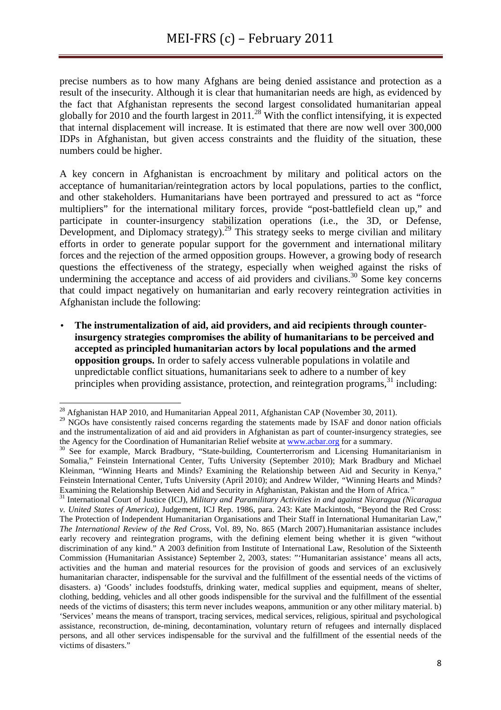precise numbers as to how many Afghans are being denied assistance and protection as a result of the insecurity. Although it is clear that humanitarian needs are high, as evidenced by the fact that Afghanistan represents the second largest consolidated humanitarian appeal globally for 2010 and the fourth largest in 2011.<sup>28</sup> With the conflict intensifying, it is expected that internal displacement will increase. It is estimated that there are now well over 300,000 IDPs in Afghanistan, but given access constraints and the fluidity of the situation, these numbers could be higher.

A key concern in Afghanistan is encroachment by military and political actors on the acceptance of humanitarian/reintegration actors by local populations, parties to the conflict, and other stakeholders. Humanitarians have been portrayed and pressured to act as "force multipliers" for the international military forces, provide "post-battlefield clean up," and participate in counter-insurgency stabilization operations (i.e., the 3D, or Defense, Development, and Diplomacy strategy).<sup>29</sup> This strategy seeks to merge civilian and military efforts in order to generate popular support for the government and international military forces and the rejection of the armed opposition groups. However, a growing body of research questions the effectiveness of the strategy, especially when weighed against the risks of undermining the acceptance and access of aid providers and civilians.<sup>30</sup> Some key concerns that could impact negatively on humanitarian and early recovery reintegration activities in Afghanistan include the following:

• **The instrumentalization of aid, aid providers, and aid recipients through counterinsurgency strategies compromises the ability of humanitarians to be perceived and accepted as principled humanitarian actors by local populations and the armed opposition groups.** In order to safely access vulnerable populations in volatile and unpredictable conflict situations, humanitarians seek to adhere to a number of key principles when providing assistance, protection, and reintegration programs,  $31$  including:

l

<sup>&</sup>lt;sup>28</sup> Afghanistan HAP 2010, and Humanitarian Appeal 2011, Afghanistan CAP (November 30, 2011).

<sup>&</sup>lt;sup>29</sup> NGOs have consistently raised concerns regarding the statements made by ISAF and donor nation officials and the instrumentalization of aid and aid providers in Afghanistan as part of counter-insurgency strategies, see the Agency for the Coordination of Humanitarian Relief website at **www.acbar.org** for a summary.

<sup>&</sup>lt;sup>30</sup> See for example, Marck Bradbury, "State-building, Counterterrorism and Licensing Humanitarianism in Somalia," Feinstein International Center, Tufts University (September 2010); Mark Bradbury and Michael Kleinman, "Winning Hearts and Minds? Examining the Relationship between Aid and Security in Kenya," Feinstein International Center, Tufts University (April 2010); and Andrew Wilder, *"*Winning Hearts and Minds? Examining the Relationship Between Aid and Security in Afghanistan, Pakistan and the Horn of Africa*."*

<sup>31</sup> International Court of Justice (ICJ), *Military and Paramilitary Activities in and against Nicaragua (Nicaragua v. United States of America)*, Judgement, ICJ Rep. 1986, para. 243: Kate Mackintosh, "Beyond the Red Cross: The Protection of Independent Humanitarian Organisations and Their Staff in International Humanitarian Law," *The International Review of the Red Cross*, Vol. 89, No. 865 (March 2007).Humanitarian assistance includes early recovery and reintegration programs, with the defining element being whether it is given "without discrimination of any kind." A 2003 definition from Institute of International Law, Resolution of the Sixteenth Commission (Humanitarian Assistance) September 2, 2003, states: "'Humanitarian assistance' means all acts, activities and the human and material resources for the provision of goods and services of an exclusively humanitarian character, indispensable for the survival and the fulfillment of the essential needs of the victims of disasters. a) 'Goods' includes foodstuffs, drinking water, medical supplies and equipment, means of shelter, clothing, bedding, vehicles and all other goods indispensible for the survival and the fulfillment of the essential needs of the victims of disasters; this term never includes weapons, ammunition or any other military material. b) 'Services' means the means of transport, tracing services, medical services, religious, spiritual and psychological assistance, reconstruction, de-mining, decontamination, voluntary return of refugees and internally displaced persons, and all other services indispensable for the survival and the fulfillment of the essential needs of the victims of disasters."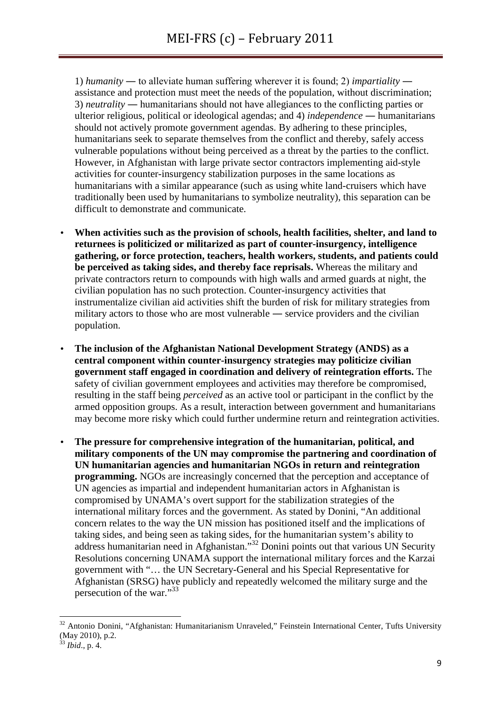1) *humanity* ― to alleviate human suffering wherever it is found; 2) *impartiality* ― assistance and protection must meet the needs of the population, without discrimination; 3) *neutrality* ― humanitarians should not have allegiances to the conflicting parties or ulterior religious, political or ideological agendas; and 4) *independence* ― humanitarians should not actively promote government agendas. By adhering to these principles, humanitarians seek to separate themselves from the conflict and thereby, safely access vulnerable populations without being perceived as a threat by the parties to the conflict. However, in Afghanistan with large private sector contractors implementing aid-style activities for counter-insurgency stabilization purposes in the same locations as humanitarians with a similar appearance (such as using white land-cruisers which have traditionally been used by humanitarians to symbolize neutrality), this separation can be difficult to demonstrate and communicate.

- **When activities such as the provision of schools, health facilities, shelter, and land to returnees is politicized or militarized as part of counter-insurgency, intelligence gathering, or force protection, teachers, health workers, students, and patients could be perceived as taking sides, and thereby face reprisals.** Whereas the military and private contractors return to compounds with high walls and armed guards at night, the civilian population has no such protection. Counter-insurgency activities that instrumentalize civilian aid activities shift the burden of risk for military strategies from military actors to those who are most vulnerable ― service providers and the civilian population.
- **The inclusion of the Afghanistan National Development Strategy (ANDS) as a central component within counter-insurgency strategies may politicize civilian government staff engaged in coordination and delivery of reintegration efforts.** The safety of civilian government employees and activities may therefore be compromised, resulting in the staff being *perceived* as an active tool or participant in the conflict by the armed opposition groups. As a result, interaction between government and humanitarians may become more risky which could further undermine return and reintegration activities.
- **The pressure for comprehensive integration of the humanitarian, political, and military components of the UN may compromise the partnering and coordination of UN humanitarian agencies and humanitarian NGOs in return and reintegration programming.** NGOs are increasingly concerned that the perception and acceptance of UN agencies as impartial and independent humanitarian actors in Afghanistan is compromised by UNAMA's overt support for the stabilization strategies of the international military forces and the government. As stated by Donini, "An additional concern relates to the way the UN mission has positioned itself and the implications of taking sides, and being seen as taking sides, for the humanitarian system's ability to address humanitarian need in Afghanistan."<sup>32</sup> Donini points out that various UN Security Resolutions concerning UNAMA support the international military forces and the Karzai government with "… the UN Secretary-General and his Special Representative for Afghanistan (SRSG) have publicly and repeatedly welcomed the military surge and the persecution of the war."<sup>33</sup>

<sup>32</sup> Antonio Donini, "Afghanistan: Humanitarianism Unraveled," Feinstein International Center, Tufts University (May 2010), p.2.

 $3$  *Ibid.*, p. 4.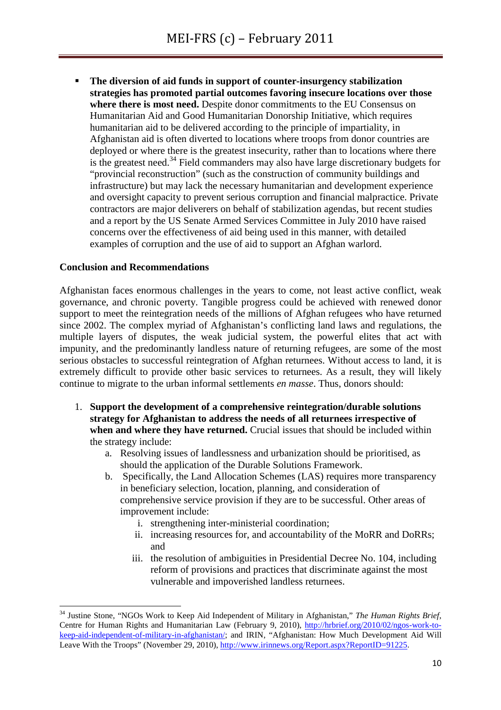**The diversion of aid funds in support of counter-insurgency stabilization strategies has promoted partial outcomes favoring insecure locations over those where there is most need.** Despite donor commitments to the EU Consensus on Humanitarian Aid and Good Humanitarian Donorship Initiative, which requires humanitarian aid to be delivered according to the principle of impartiality, in Afghanistan aid is often diverted to locations where troops from donor countries are deployed or where there is the greatest insecurity, rather than to locations where there is the greatest need.<sup>34</sup> Field commanders may also have large discretionary budgets for "provincial reconstruction" (such as the construction of community buildings and infrastructure) but may lack the necessary humanitarian and development experience and oversight capacity to prevent serious corruption and financial malpractice. Private contractors are major deliverers on behalf of stabilization agendas, but recent studies and a report by the US Senate Armed Services Committee in July 2010 have raised concerns over the effectiveness of aid being used in this manner, with detailed examples of corruption and the use of aid to support an Afghan warlord.

### **Conclusion and Recommendations**

l

Afghanistan faces enormous challenges in the years to come, not least active conflict, weak governance, and chronic poverty. Tangible progress could be achieved with renewed donor support to meet the reintegration needs of the millions of Afghan refugees who have returned since 2002. The complex myriad of Afghanistan's conflicting land laws and regulations, the multiple layers of disputes, the weak judicial system, the powerful elites that act with impunity, and the predominantly landless nature of returning refugees, are some of the most serious obstacles to successful reintegration of Afghan returnees. Without access to land, it is extremely difficult to provide other basic services to returnees. As a result, they will likely continue to migrate to the urban informal settlements *en masse*. Thus, donors should:

- 1. **Support the development of a comprehensive reintegration/durable solutions strategy for Afghanistan to address the needs of all returnees irrespective of when and where they have returned.** Crucial issues that should be included within the strategy include:
	- a. Resolving issues of landlessness and urbanization should be prioritised, as should the application of the Durable Solutions Framework.
	- b. Specifically, the Land Allocation Schemes (LAS) requires more transparency in beneficiary selection, location, planning, and consideration of comprehensive service provision if they are to be successful. Other areas of improvement include:
		- i. strengthening inter-ministerial coordination;
		- ii. increasing resources for, and accountability of the MoRR and DoRRs; and
		- iii. the resolution of ambiguities in Presidential Decree No. 104, including reform of provisions and practices that discriminate against the most vulnerable and impoverished landless returnees.

<sup>34</sup> Justine Stone, "NGOs Work to Keep Aid Independent of Military in Afghanistan," *The Human Rights Brief*, Centre for Human Rights and Humanitarian Law (February 9, 2010), http://hrbrief.org/2010/02/ngos-work-tokeep-aid-independent-of-military-in-afghanistan/; and IRIN, "Afghanistan: How Much Development Aid Will Leave With the Troops" (November 29, 2010), http://www.irinnews.org/Report.aspx?ReportID=91225.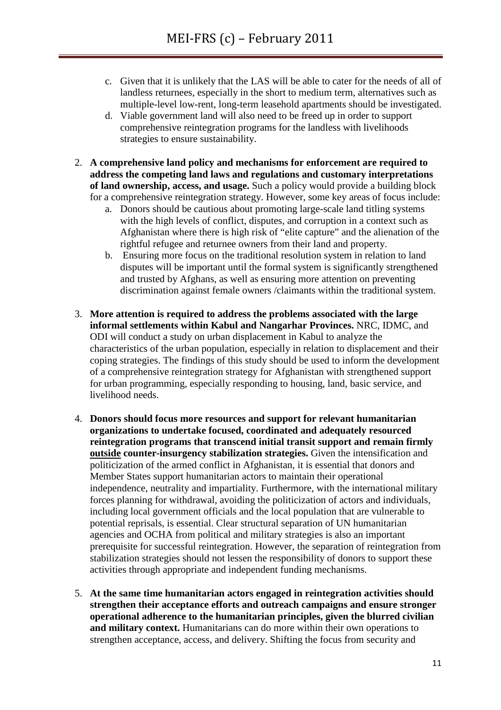- c. Given that it is unlikely that the LAS will be able to cater for the needs of all of landless returnees, especially in the short to medium term, alternatives such as multiple-level low-rent, long-term leasehold apartments should be investigated.
- d. Viable government land will also need to be freed up in order to support comprehensive reintegration programs for the landless with livelihoods strategies to ensure sustainability.
- 2. **A comprehensive land policy and mechanisms for enforcement are required to address the competing land laws and regulations and customary interpretations of land ownership, access, and usage.** Such a policy would provide a building block for a comprehensive reintegration strategy. However, some key areas of focus include:
	- a. Donors should be cautious about promoting large-scale land titling systems with the high levels of conflict, disputes, and corruption in a context such as Afghanistan where there is high risk of "elite capture" and the alienation of the rightful refugee and returnee owners from their land and property.
	- b. Ensuring more focus on the traditional resolution system in relation to land disputes will be important until the formal system is significantly strengthened and trusted by Afghans, as well as ensuring more attention on preventing discrimination against female owners /claimants within the traditional system.
- 3. **More attention is required to address the problems associated with the large informal settlements within Kabul and Nangarhar Provinces.** NRC, IDMC, and ODI will conduct a study on urban displacement in Kabul to analyze the characteristics of the urban population, especially in relation to displacement and their coping strategies. The findings of this study should be used to inform the development of a comprehensive reintegration strategy for Afghanistan with strengthened support for urban programming, especially responding to housing, land, basic service, and livelihood needs.
- 4. **Donors should focus more resources and support for relevant humanitarian organizations to undertake focused, coordinated and adequately resourced reintegration programs that transcend initial transit support and remain firmly outside counter-insurgency stabilization strategies.** Given the intensification and politicization of the armed conflict in Afghanistan, it is essential that donors and Member States support humanitarian actors to maintain their operational independence, neutrality and impartiality. Furthermore, with the international military forces planning for withdrawal, avoiding the politicization of actors and individuals, including local government officials and the local population that are vulnerable to potential reprisals, is essential. Clear structural separation of UN humanitarian agencies and OCHA from political and military strategies is also an important prerequisite for successful reintegration. However, the separation of reintegration from stabilization strategies should not lessen the responsibility of donors to support these activities through appropriate and independent funding mechanisms.
- 5. **At the same time humanitarian actors engaged in reintegration activities should strengthen their acceptance efforts and outreach campaigns and ensure stronger operational adherence to the humanitarian principles, given the blurred civilian and military context.** Humanitarians can do more within their own operations to strengthen acceptance, access, and delivery. Shifting the focus from security and